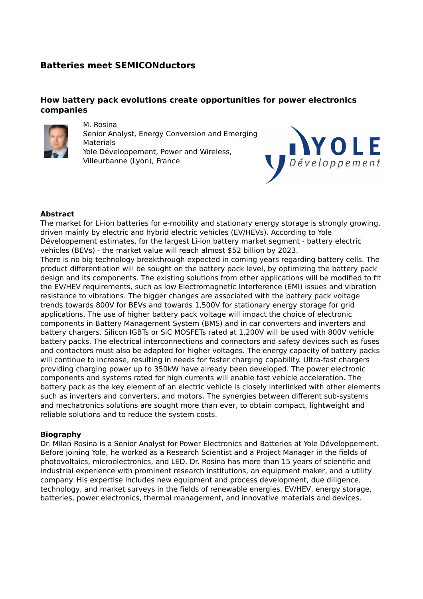# **Batteries meet SEMICONductors**

### **How battery pack evolutions create opportunities for power electronics companies**



M. Rosina

Senior Analyst, Energy Conversion and Emerging **Materials** 

Yole Développement, Power and Wireless, Villeurbanne (Lyon), France



### **Abstract**

The market for Li-ion batteries for e-mobility and stationary energy storage is strongly growing, driven mainly by electric and hybrid electric vehicles (EV/HEVs). According to Yole Développement estimates, for the largest Li-ion battery market segment - battery electric vehicles (BEVs) - the market value will reach almost \$52 billion by 2023. There is no big technology breakthrough expected in coming years regarding battery cells. The product differentiation will be sought on the battery pack level, by optimizing the battery pack design and its components. The existing solutions from other applications will be modified to fit the EV/HEV requirements, such as low Electromagnetic Interference (EMI) issues and vibration resistance to vibrations. The bigger changes are associated with the battery pack voltage trends towards 800V for BEVs and towards 1,500V for stationary energy storage for grid applications. The use of higher battery pack voltage will impact the choice of electronic components in Battery Management System (BMS) and in car converters and inverters and battery chargers. Silicon IGBTs or SiC MOSFETs rated at 1,200V will be used with 800V vehicle battery packs. The electrical interconnections and connectors and safety devices such as fuses and contactors must also be adapted for higher voltages. The energy capacity of battery packs

will continue to increase, resulting in needs for faster charging capability. Ultra-fast chargers providing charging power up to 350kW have already been developed. The power electronic components and systems rated for high currents will enable fast vehicle acceleration. The battery pack as the key element of an electric vehicle is closely interlinked with other elements such as inverters and converters, and motors. The synergies between different sub-systems and mechatronics solutions are sought more than ever, to obtain compact, lightweight and reliable solutions and to reduce the system costs.

#### **Biography**

Dr. Milan Rosina is a Senior Analyst for Power Electronics and Batteries at Yole Développement. Before joining Yole, he worked as a Research Scientist and a Project Manager in the fields of photovoltaics, microelectronics, and LED. Dr. Rosina has more than 15 years of scientific and industrial experience with prominent research institutions, an equipment maker, and a utility company. His expertise includes new equipment and process development, due diligence, technology, and market surveys in the fields of renewable energies, EV/HEV, energy storage, batteries, power electronics, thermal management, and innovative materials and devices.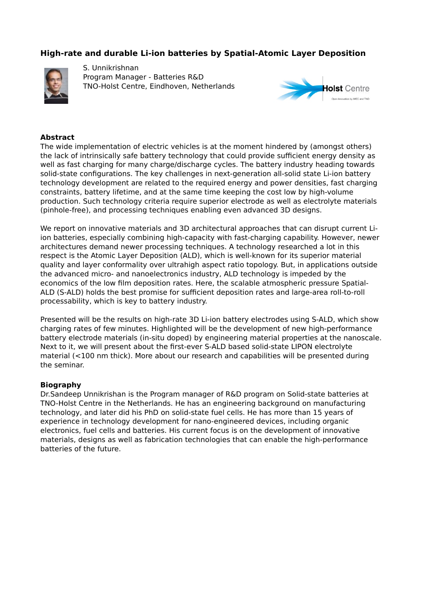## **High-rate and durable Li-ion batteries by Spatial-Atomic Layer Deposition**



S. Unnikrishnan Program Manager - Batteries R&D TNO-Holst Centre, Eindhoven, Netherlands



### **Abstract**

The wide implementation of electric vehicles is at the moment hindered by (amongst others) the lack of intrinsically safe battery technology that could provide sufficient energy density as well as fast charging for many charge/discharge cycles. The battery industry heading towards solid-state configurations. The key challenges in next-generation all-solid state Li-ion battery technology development are related to the required energy and power densities, fast charging constraints, battery lifetime, and at the same time keeping the cost low by high-volume production. Such technology criteria require superior electrode as well as electrolyte materials (pinhole-free), and processing techniques enabling even advanced 3D designs.

We report on innovative materials and 3D architectural approaches that can disrupt current Liion batteries, especially combining high-capacity with fast-charging capability. However, newer architectures demand newer processing techniques. A technology researched a lot in this respect is the Atomic Layer Deposition (ALD), which is well-known for its superior material quality and layer conformality over ultrahigh aspect ratio topology. But, in applications outside the advanced micro- and nanoelectronics industry, ALD technology is impeded by the economics of the low film deposition rates. Here, the scalable atmospheric pressure Spatial-ALD (S-ALD) holds the best promise for sufficient deposition rates and large-area roll-to-roll processability, which is key to battery industry.

Presented will be the results on high-rate 3D Li-ion battery electrodes using S-ALD, which show charging rates of few minutes. Highlighted will be the development of new high-performance battery electrode materials (in-situ doped) by engineering material properties at the nanoscale. Next to it, we will present about the first-ever S-ALD based solid-state LIPON electrolyte material (<100 nm thick). More about our research and capabilities will be presented during the seminar.

### **Biography**

Dr.Sandeep Unnikrishan is the Program manager of R&D program on Solid-state batteries at TNO-Holst Centre in the Netherlands. He has an engineering background on manufacturing technology, and later did his PhD on solid-state fuel cells. He has more than 15 years of experience in technology development for nano-engineered devices, including organic electronics, fuel cells and batteries. His current focus is on the development of innovative materials, designs as well as fabrication technologies that can enable the high-performance batteries of the future.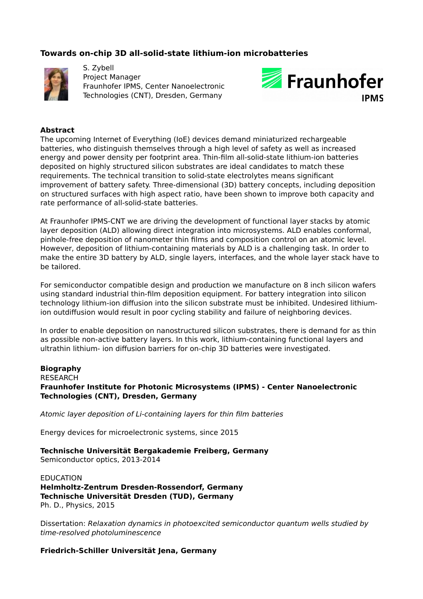## **Towards on-chip 3D all-solid-state lithium-ion microbatteries**



S. Zybell Project Manager Fraunhofer IPMS, Center Nanoelectronic Technologies (CNT), Dresden, Germany



### **Abstract**

The upcoming Internet of Everything (IoE) devices demand miniaturized rechargeable batteries, who distinguish themselves through a high level of safety as well as increased energy and power density per footprint area. Thin-film all-solid-state lithium-ion batteries deposited on highly structured silicon substrates are ideal candidates to match these requirements. The technical transition to solid-state electrolytes means significant improvement of battery safety. Three-dimensional (3D) battery concepts, including deposition on structured surfaces with high aspect ratio, have been shown to improve both capacity and rate performance of all-solid-state batteries.

At Fraunhofer IPMS-CNT we are driving the development of functional layer stacks by atomic layer deposition (ALD) allowing direct integration into microsystems. ALD enables conformal, pinhole-free deposition of nanometer thin films and composition control on an atomic level. However, deposition of lithium-containing materials by ALD is a challenging task. In order to make the entire 3D battery by ALD, single layers, interfaces, and the whole layer stack have to be tailored.

For semiconductor compatible design and production we manufacture on 8 inch silicon wafers using standard industrial thin-film deposition equipment. For battery integration into silicon technology lithium-ion diffusion into the silicon substrate must be inhibited. Undesired lithiumion outdiffusion would result in poor cycling stability and failure of neighboring devices.

In order to enable deposition on nanostructured silicon substrates, there is demand for as thin as possible non-active battery layers. In this work, lithium-containing functional layers and ultrathin lithium- ion diffusion barriers for on-chip 3D batteries were investigated.

#### **Biography**

RESEARCH **Fraunhofer Institute for Photonic Microsystems (IPMS) - Center Nanoelectronic Technologies (CNT), Dresden, Germany**

Atomic layer deposition of Li-containing layers for thin film batteries

Energy devices for microelectronic systems, since 2015

### **Technische Universität Bergakademie Freiberg, Germany**

Semiconductor optics, 2013-2014

EDUCATION **Helmholtz-Zentrum Dresden-Rossendorf, Germany Technische Universität Dresden (TUD), Germany** Ph. D., Physics, 2015

Dissertation: Relaxation dynamics in photoexcited semiconductor quantum wells studied by time-resolved photoluminescence

### **Friedrich-Schiller Universität Jena, Germany**